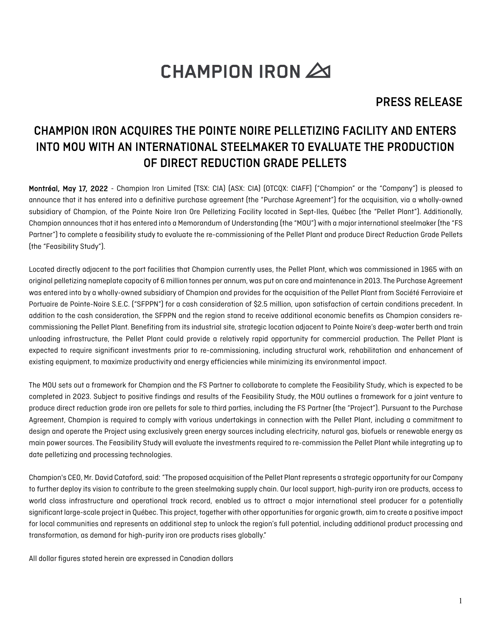# **CHAMPION IRON 20**

## PRESS RELEASE

## CHAMPION IRON ACQUIRES THE POINTE NOIRE PELLETIZING FACILITY AND ENTERS INTO MOU WITH AN INTERNATIONAL STEELMAKER TO EVALUATE THE PRODUCTION OF DIRECT REDUCTION GRADE PELLETS

Montréal, May 17, 2022 - Champion Iron Limited (TSX: CIA) (ASX: CIA) (OTCOX: CIAFF) ("Champion" or the "Company") is pleased to announce that it has entered into a definitive purchase agreement (the "Purchase Agreement") for the acquisition, via a wholly-owned subsidiary of Champion, of the Pointe Noire Iron Ore Pelletizing Facility located in Sept-Iles, Québec (the "Pellet Plant"). Additionally, Champion announces that it has entered into a Memorandum of Understanding (the "MOU") with a major international steelmaker (the "FS Partner") to complete a feasibility study to evaluate the re-commissioning of the Pellet Plant and produce Direct Reduction Grade Pellets (the "Feasibility Study").

Located directly adjacent to the port facilities that Champion currently uses, the Pellet Plant, which was commissioned in 1965 with an original pelletizing nameplate capacity of 6 million tonnes per annum,was put on care and maintenance in 2013. The Purchase Agreement was entered into by a wholly-owned subsidiary of Champion and provides for the acquisition of the Pellet Plant from Société Ferroviaire et Portuaire de Pointe-Noire S.E.C. ("SFPPN") for a cash consideration of \$2.5 million, upon satisfaction of certain conditions precedent. In addition to the cash consideration, the SFPPN and the region stand to receive additional economic benefits as Champion considers recommissioning the Pellet Plant. Benefiting from its industrial site, strategic location adjacent to Pointe Noire's deep-water berth and train unloading infrastructure, the Pellet Plant could provide a relatively rapid opportunity for commercial production. The Pellet Plant is expected to require significant investments prior to re-commissioning, including structural work, rehabilitation and enhancement of existing equipment, to maximize productivity and energy efficiencies while minimizing its environmental impact.

The MOU sets out a framework for Champion and the FS Partner to collaborate to complete the Feasibility Study, which is expected to be completed in 2023. Subject to positive findings and results of the Feasibility Study, the MOU outlines a framework for a joint venture to produce direct reduction grade iron ore pellets for sale to third parties, including the FS Partner (the "Project"). Pursuant to the Purchase Agreement, Champion is required to comply with various undertakings in connection with the Pellet Plant, including a commitment to design and operate the Project using exclusively green energy sources including electricity, natural gas, biofuels or renewable energy as main power sources. The Feasibility Study will evaluate the investments required to re-commission the Pellet Plant while integrating up to date pelletizing and processing technologies.

Champion's CEO, Mr. David Cataford, said: "The proposed acquisition of the Pellet Plant represents a strategic opportunity for our Company to further deploy its vision to contribute to the green steelmaking supply chain. Our local support, high-purity iron ore products, access to world class infrastructure and operational track record, enabled us to attract a major international steel producer for a potentially significant large-scale project in Québec. This project, togetherwith other opportunities for organic growth, aim to create a positive impact for local communities and represents an additional step to unlock the region's full potential, including additional product processing and transformation, as demand for high-purity iron ore products rises globally."

All dollar figures stated herein are expressed in Canadian dollars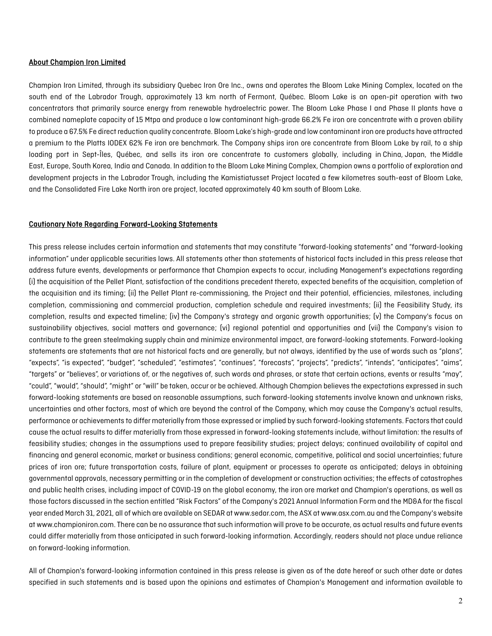#### About Champion Iron Limited

Champion Iron Limited, through its subsidiary Quebec Iron Ore Inc., owns and operates the Bloom Lake Mining Complex, located on the south end of the Labrador Trough, approximately 13 km north of Fermont, Québec. Bloom Lake is an open-pit operation with two concentrators that primarily source energy from renewable hydroelectric power. The Bloom Lake Phase I and Phase II plants have a combined nameplate capacity of 15 Mtpa and produce a low contaminant high-grade 66.2% Fe iron ore concentrate with a proven ability to produce a 67.5% Fe direct reduction quality concentrate. Bloom Lake's high-grade and low contaminant iron ore products have attracted a premium to the Platts IODEX 62% Fe iron ore benchmark. The Company ships iron ore concentrate from Bloom Lake by rail, to a ship loading port in Sept-Îles, Québec, and sells its iron ore concentrate to customers globally, including in China, Japan, the Middle East, Europe, South Korea, India and Canada. In addition to the Bloom Lake Mining Complex, Champion owns a portfolio of exploration and development projects in the Labrador Trough, including the Kamistiatusset Project located a few kilometres south-east of Bloom Lake, and the Consolidated Fire Lake North iron ore project, located approximately 40 km south of Bloom Lake.

#### Cautionary Note Regarding Forward-Looking Statements

This press release includes certain information and statements that may constitute "forward-looking statements" and "forward-looking information" under applicable securities laws. All statements other than statements of historical facts included in this press release that address future events, developments or performance that Champion expects to occur, including Management's expectations regarding (i) the acquisition of the Pellet Plant, satisfaction of the conditions precedent thereto, expected benefits of the acquisition, completion of the acquisition and its timing; (ii) the Pellet Plant re-commissioning, the Project and their potential, efficiencies, milestones, including completion, commissioning and commercial production, completion schedule and required investments; (ii) the Feasibility Study, its completion, results and expected timeline; (iv) the Company's strategy and organic growth opportunities; (v) the Company's focus on sustainability objectives, social matters and governance; (vi) regional potential and opportunities and (vii) the Company's vision to contribute to the green steelmaking supply chain and minimize environmental impact, are forward-looking statements. Forward-looking statements are statements that are not historical facts and are generally, but not always, identified by the use of words such as "plans", "expects", "is expected", "budget", "scheduled", "estimates", "continues", "forecasts", "projects", "predicts", "intends", "anticipates", "aims", "targets" or "believes", or variations of, or the negatives of, such words and phrases, or state that certain actions, events or results "may", "could", "would", "should", "might" or "will" be taken, occur or be achieved. Although Champion believes the expectations expressed in such forward-looking statements are based on reasonable assumptions, such forward-looking statements involve known and unknown risks, uncertainties and other factors, most of which are beyond the control of the Company, which may cause the Company's actual results, performance or achievements to differ materially from those expressed or implied by such forward-looking statements. Factors that could cause the actual results to differ materially from those expressed in forward-looking statements include, without limitation: the results of feasibility studies; changes in the assumptions used to prepare feasibility studies; project delays; continued availability of capital and financing and general economic, market or business conditions; general economic, competitive, political and social uncertainties; future prices of iron ore; future transportation costs, failure of plant, equipment or processes to operate as anticipated; delays in obtaining governmental approvals, necessary permitting or in the completion of development or construction activities; the effects of catastrophes and public health crises, including impact of COVID-19 on the global economy, the iron ore market and Champion's operations, as well as those factors discussed in the section entitled "Risk Factors" of the Company's 2021 Annual Information Form and the MD&A for the fiscal year ended March 31, 2021, all of which are available on SEDAR at www.sedar.com, the ASX at www.asx.com.au and the Company's website at www.championiron.com. There can be no assurance that such information will prove to be accurate, as actual results and future events could differ materially from those anticipated in such forward-looking information. Accordingly, readers should not place undue reliance on forward-looking information.

All of Champion's forward-looking information contained in this press release is given as of the date hereof or such other date or dates specified in such statements and is based upon the opinions and estimates of Champion's Management and information available to